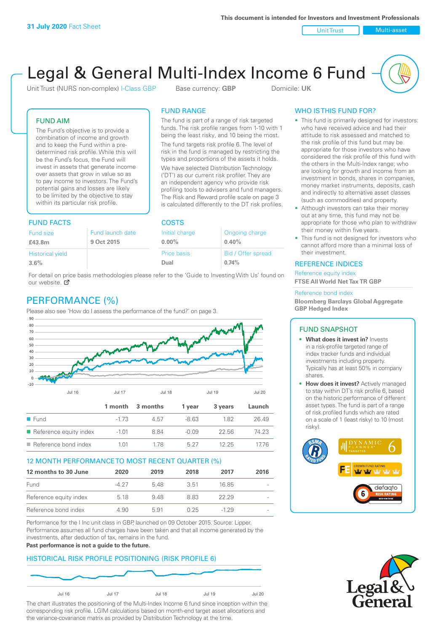Unit Trust Nulti-asset

# Legal & General Multi-Index Income 6 Fund

Unit Trust (NURS non-complex) I-Class GBP Base currency: **GBP** Domicile: UK

The fund is part of a range of risk targeted funds. The risk profile ranges from 1-10 with 1 being the least risky, and 10 being the most. The fund targets risk profile 6. The level of risk in the fund is managed by restricting the types and proportions of the assets it holds. We have selected Distribution Technology ('DT') as our current risk profiler. They are an independent agency who provide risk profiling tools to advisers and fund managers. The Risk and Reward profile scale on page 3 is calculated differently to the DT risk profiles.

FUND RANGE

# FUND AIM

The Fund's objective is to provide a combination of income and growth and to keep the Fund within a predetermined risk profile. While this will be the Fund's focus, the Fund will invest in assets that generate income over assets that grow in value so as to pay income to investors. The Fund's potential gains and losses are likely to be limited by the objective to stay within its particular risk profile.

# FUND FACTS COSTS

| Fund size               | Fund launch date | Initial charge | Ongoing charge     |  |
|-------------------------|------------------|----------------|--------------------|--|
| £43.8m                  | 9 Oct 2015       | $0.00\%$       | 0.40%              |  |
| <b>Historical yield</b> |                  | Price basis    | Bid / Offer spread |  |
| 3.6%                    |                  | Dual           | 0.74%              |  |

For detail on [pric](http://www.legalandgeneral.com/guide)e basis methodologies please refer to the 'Guide to Investing With Us' found on our website. Ø

# PERFORMANCE (%)

Please also see 'How do I assess the performance of the fund?' on page 3.



# 12 MONTH PERFORMANCE TO MOST RECENT QUARTER (%)

| 12 months to 30 June   | 2020  | 2019 | 2018 | 2017   | 2016   |
|------------------------|-------|------|------|--------|--------|
| Fund                   | -4.27 | 548  | 3.51 | 16.85  | $\sim$ |
| Reference equity index | 5.18  | 9.48 | 883  | 22.29  | $\sim$ |
| Reference bond index   | 4.90  | 591  | 0.25 | $-129$ | $\sim$ |

Performance for the I Inc unit class in GBP, launched on 09 October 2015. Source: Lipper. Performance assumes all fund charges have been taken and that all income generated by the investments, after deduction of tax, remains in the fund.

#### **Past performance is not a guide to the future.**

# HISTORICAL RISK PROFILE POSITIONING (RISK PROFILE 6)



The chart illustrates the positioning of the Multi-Index Income 6 fund since inception within the corresponding risk profile. LGIM calculations based on month-end target asset allocations and the variance-covariance matrix as provided by Distribution Technology at the time.

# WHO IS THIS FUND FOR?

- This fund is primarily designed for investors: who have received advice and had their attitude to risk assessed and matched to the risk profile of this fund but may be appropriate for those investors who have considered the risk profile of this fund with the others in the Multi-Index range; who are looking for growth and income from an investment in bonds, shares in companies, money market instruments, deposits, cash and indirectly to alternative asset classes (such as commodities) and property.
- Although investors can take their money out at any time, this fund may not be appropriate for those who plan to withdraw their money within five years.
- This fund is not designed for investors who cannot afford more than a minimal loss of their investment.

## REFERENCE INDICES

Reference equity index **FTSE All World Net Tax TR GBP**

#### Reference bond index

**Bloomberg Barclays Global Aggregate GBP Hedged Index**

#### FUND SNAPSHOT

- **• What does it invest in?** Invests in a risk-profile targeted range of index tracker funds and individual investments including property. Typically has at least 50% in company shares.
- **• How does it invest?** Actively managed to stay within DT's risk profile 6, based on the historic performance of different asset types. The fund is part of a range of risk profiled funds which are rated on a scale of 1 (least risky) to 10 (most risky).



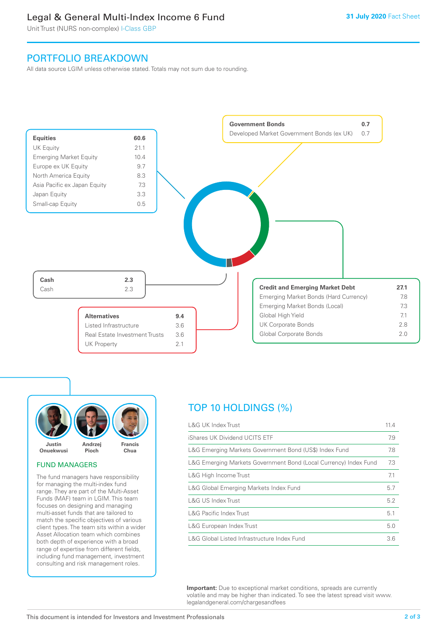# Legal & General Multi-Index Income 6 Fund

Unit Trust (NURS non-complex) I-Class GBP

# PORTFOLIO BREAKDOWN

All data source LGIM unless otherwise stated. Totals may not sum due to rounding.





#### FUND MANAGERS

The fund managers have responsibility for managing the multi-index fund range. They are part of the Multi-Asset Funds (MAF) team in LGIM. This team focuses on designing and managing multi-asset funds that are tailored to match the specific objectives of various client types. The team sits within a wider Asset Allocation team which combines both depth of experience with a broad range of expertise from different fields, including fund management, investment consulting and risk management roles.

# TOP 10 HOLDINGS (%)

| <b>L&amp;G UK Index Trust</b>                                    | 11.4 |
|------------------------------------------------------------------|------|
| iShares UK Dividend UCITS ETF                                    | 7.9  |
| L&G Emerging Markets Government Bond (US\$) Index Fund           | 7.8  |
| L&G Emerging Markets Government Bond (Local Currency) Index Fund | 7.3  |
| L&G High Income Trust                                            | 7.1  |
| L&G Global Emerging Markets Index Fund                           | 5.7  |
| L&G US Index Trust                                               | 5.2  |
| <b>L&amp;G Pacific Index Trust</b>                               | 5.1  |
| L&G European Index Trust                                         | 5.0  |
| L&G Global Listed Infrastructure Index Fund                      | 3.6  |

**Important:** Due to exceptional market conditions, spreads are currently volatile and may be higher than indicated. To see the latest spread visit www. legalandgeneral.com/chargesandfees